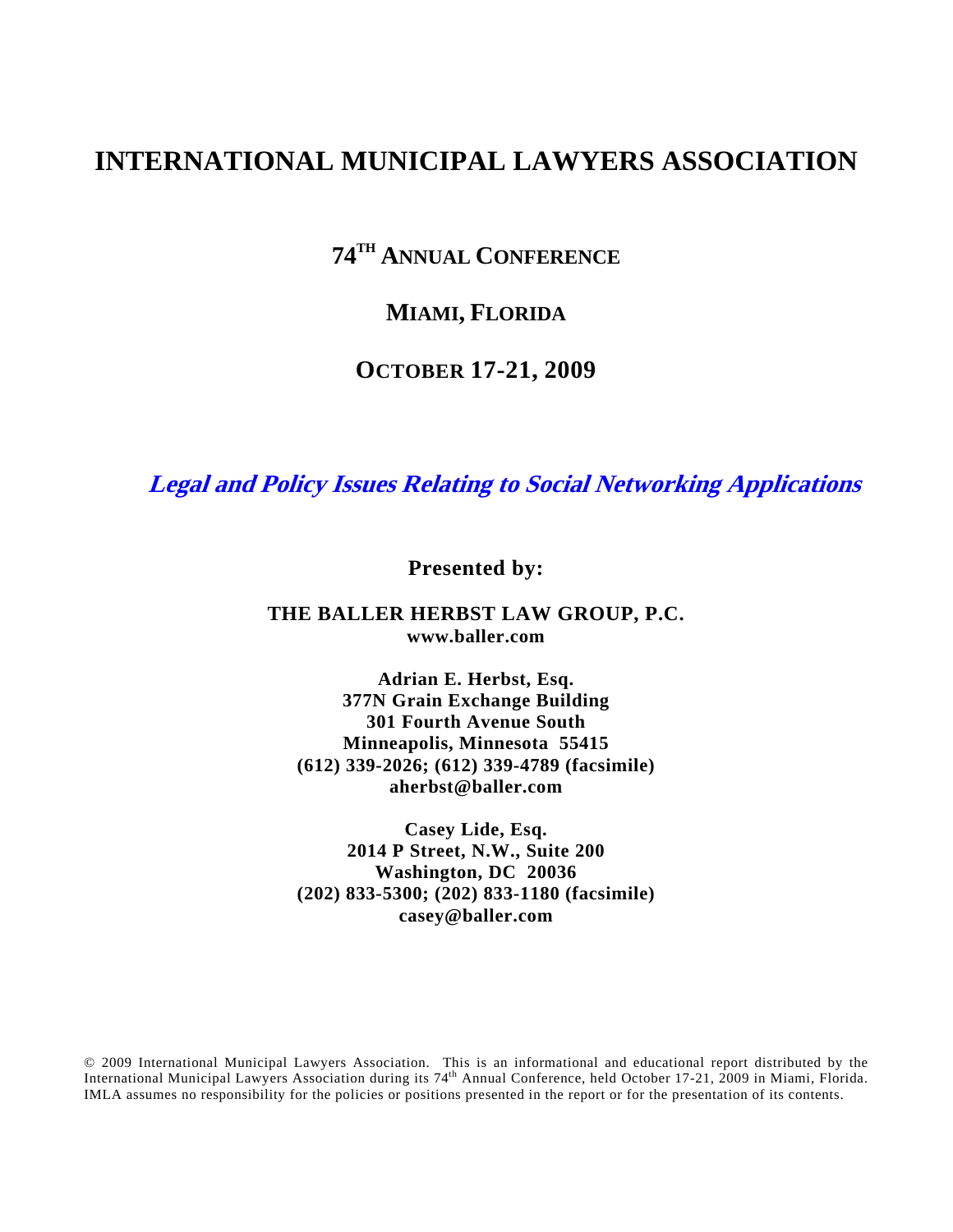# **INTERNATIONAL MUNICIPAL LAWYERS ASSOCIATION**

**74TH ANNUAL CONFERENCE**

## **MIAMI, FLORIDA**

## **OCTOBER 17-21, 2009**

**Legal and Policy Issues Relating to Social Networking Applications** 

**Presented by:** 

#### **THE BALLER HERBST LAW GROUP, P.C. www.baller.com**

**Adrian E. Herbst, Esq. 377N Grain Exchange Building 301 Fourth Avenue South Minneapolis, Minnesota 55415 (612) 339-2026; (612) 339-4789 (facsimile) aherbst@baller.com** 

**Casey Lide, Esq. 2014 P Street, N.W., Suite 200 Washington, DC 20036 (202) 833-5300; (202) 833-1180 (facsimile) casey@baller.com** 

© 2009 International Municipal Lawyers Association. This is an informational and educational report distributed by the International Municipal Lawyers Association during its 74<sup>th</sup> Annual Conference, held October 17-21, 2009 in Miami, Florida. IMLA assumes no responsibility for the policies or positions presented in the report or for the presentation of its contents.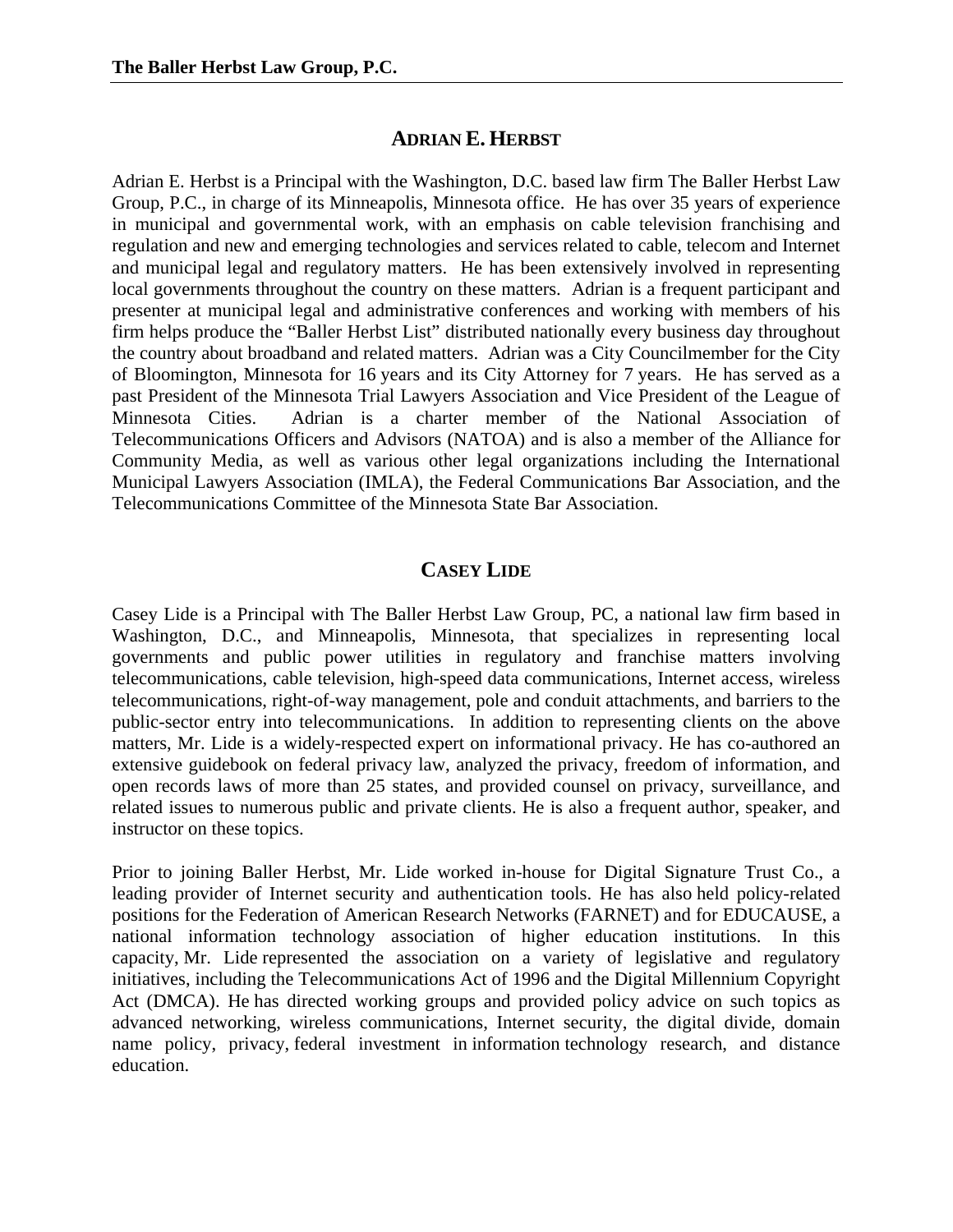### **ADRIAN E. HERBST**

Adrian E. Herbst is a Principal with the Washington, D.C. based law firm The Baller Herbst Law Group, P.C., in charge of its Minneapolis, Minnesota office. He has over 35 years of experience in municipal and governmental work, with an emphasis on cable television franchising and regulation and new and emerging technologies and services related to cable, telecom and Internet and municipal legal and regulatory matters. He has been extensively involved in representing local governments throughout the country on these matters. Adrian is a frequent participant and presenter at municipal legal and administrative conferences and working with members of his firm helps produce the "Baller Herbst List" distributed nationally every business day throughout the country about broadband and related matters. Adrian was a City Councilmember for the City of Bloomington, Minnesota for 16 years and its City Attorney for 7 years. He has served as a past President of the Minnesota Trial Lawyers Association and Vice President of the League of Minnesota Cities. Adrian is a charter member of the National Association of Telecommunications Officers and Advisors (NATOA) and is also a member of the Alliance for Community Media, as well as various other legal organizations including the International Municipal Lawyers Association (IMLA), the Federal Communications Bar Association, and the Telecommunications Committee of the Minnesota State Bar Association.

## **CASEY LIDE**

Casey Lide is a Principal with The Baller Herbst Law Group, PC, a national law firm based in Washington, D.C., and Minneapolis, Minnesota, that specializes in representing local governments and public power utilities in regulatory and franchise matters involving telecommunications, cable television, high-speed data communications, Internet access, wireless telecommunications, right-of-way management, pole and conduit attachments, and barriers to the public-sector entry into telecommunications. In addition to representing clients on the above matters, Mr. Lide is a widely-respected expert on informational privacy. He has co-authored an extensive guidebook on federal privacy law, analyzed the privacy, freedom of information, and open records laws of more than 25 states, and provided counsel on privacy, surveillance, and related issues to numerous public and private clients. He is also a frequent author, speaker, and instructor on these topics.

Prior to joining Baller Herbst, Mr. Lide worked in-house for Digital Signature Trust Co., a leading provider of Internet security and authentication tools. He has also held policy-related positions for the Federation of American Research Networks (FARNET) and for EDUCAUSE, a national information technology association of higher education institutions. In this capacity, Mr. Lide represented the association on a variety of legislative and regulatory initiatives, including the Telecommunications Act of 1996 and the Digital Millennium Copyright Act (DMCA). He has directed working groups and provided policy advice on such topics as advanced networking, wireless communications, Internet security, the digital divide, domain name policy, privacy, federal investment in information technology research, and distance education.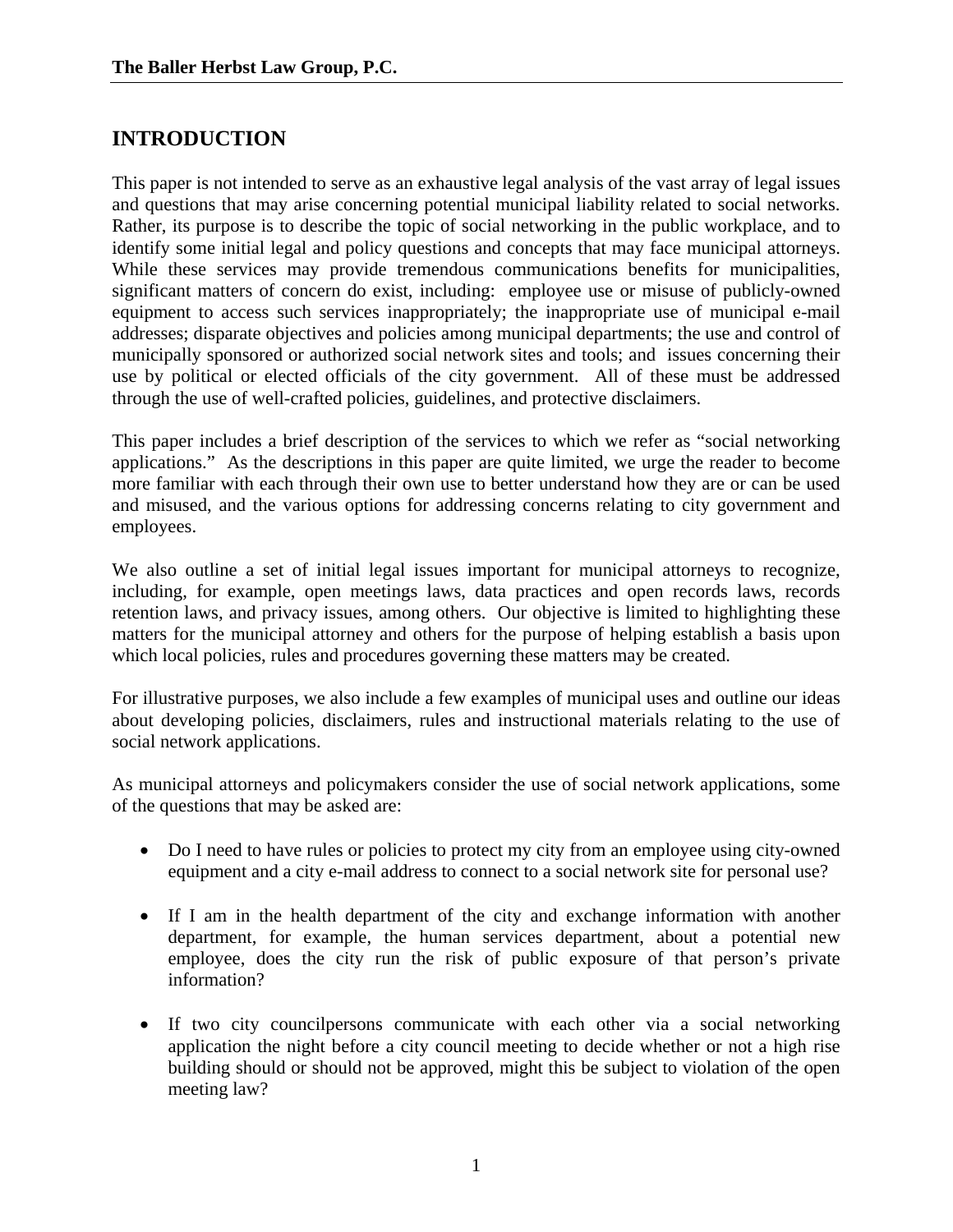## **INTRODUCTION**

This paper is not intended to serve as an exhaustive legal analysis of the vast array of legal issues and questions that may arise concerning potential municipal liability related to social networks. Rather, its purpose is to describe the topic of social networking in the public workplace, and to identify some initial legal and policy questions and concepts that may face municipal attorneys. While these services may provide tremendous communications benefits for municipalities, significant matters of concern do exist, including: employee use or misuse of publicly-owned equipment to access such services inappropriately; the inappropriate use of municipal e-mail addresses; disparate objectives and policies among municipal departments; the use and control of municipally sponsored or authorized social network sites and tools; and issues concerning their use by political or elected officials of the city government. All of these must be addressed through the use of well-crafted policies, guidelines, and protective disclaimers.

This paper includes a brief description of the services to which we refer as "social networking applications." As the descriptions in this paper are quite limited, we urge the reader to become more familiar with each through their own use to better understand how they are or can be used and misused, and the various options for addressing concerns relating to city government and employees.

We also outline a set of initial legal issues important for municipal attorneys to recognize, including, for example, open meetings laws, data practices and open records laws, records retention laws, and privacy issues, among others. Our objective is limited to highlighting these matters for the municipal attorney and others for the purpose of helping establish a basis upon which local policies, rules and procedures governing these matters may be created.

For illustrative purposes, we also include a few examples of municipal uses and outline our ideas about developing policies, disclaimers, rules and instructional materials relating to the use of social network applications.

As municipal attorneys and policymakers consider the use of social network applications, some of the questions that may be asked are:

- Do I need to have rules or policies to protect my city from an employee using city-owned equipment and a city e-mail address to connect to a social network site for personal use?
- If I am in the health department of the city and exchange information with another department, for example, the human services department, about a potential new employee, does the city run the risk of public exposure of that person's private information?
- If two city councilpersons communicate with each other via a social networking application the night before a city council meeting to decide whether or not a high rise building should or should not be approved, might this be subject to violation of the open meeting law?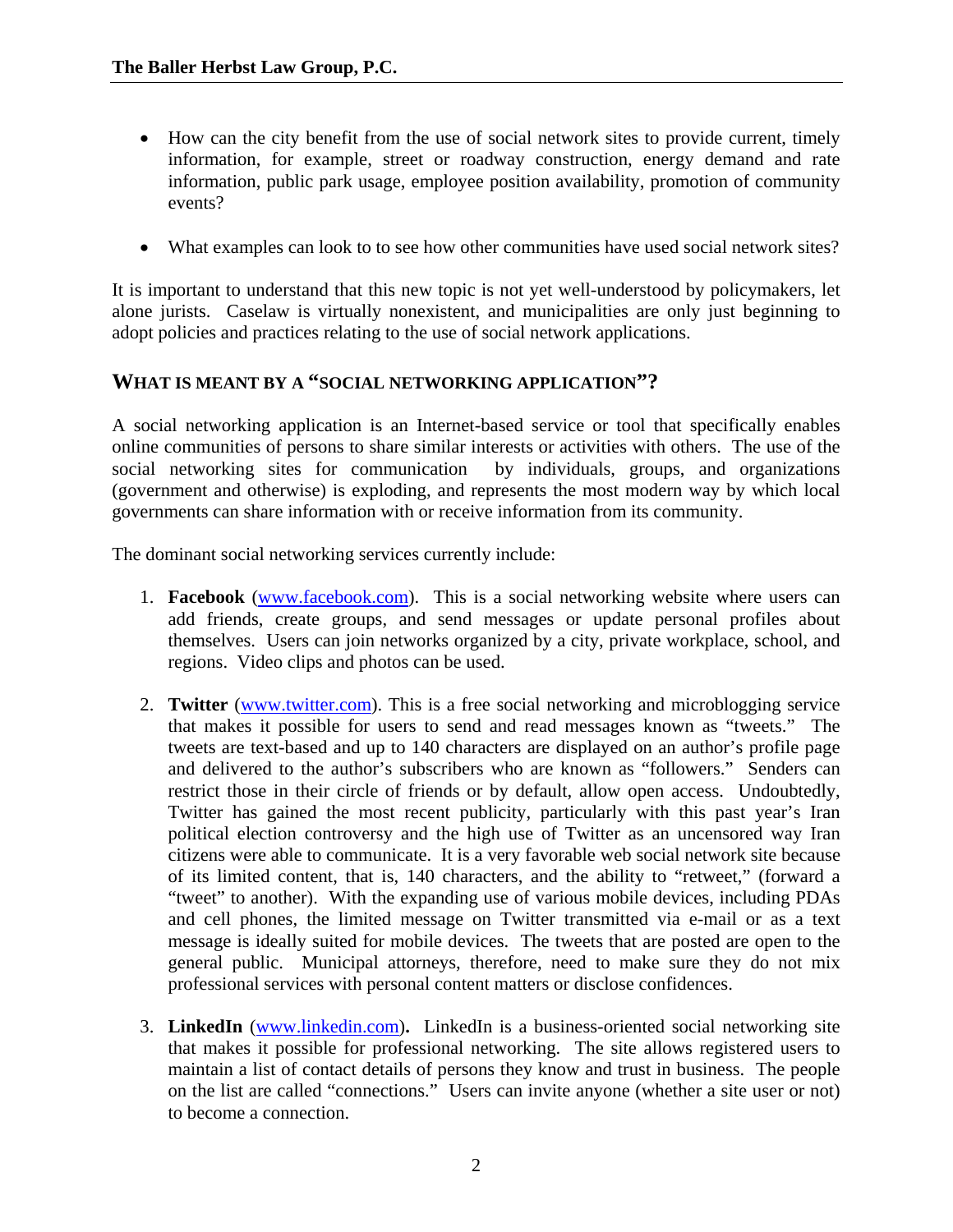- How can the city benefit from the use of social network sites to provide current, timely information, for example, street or roadway construction, energy demand and rate information, public park usage, employee position availability, promotion of community events?
- What examples can look to to see how other communities have used social network sites?

It is important to understand that this new topic is not yet well-understood by policymakers, let alone jurists. Caselaw is virtually nonexistent, and municipalities are only just beginning to adopt policies and practices relating to the use of social network applications.

#### **WHAT IS MEANT BY A "SOCIAL NETWORKING APPLICATION"?**

A social networking application is an Internet-based service or tool that specifically enables online communities of persons to share similar interests or activities with others. The use of the social networking sites for communication by individuals, groups, and organizations (government and otherwise) is exploding, and represents the most modern way by which local governments can share information with or receive information from its community.

The dominant social networking services currently include:

- 1. **Facebook** (www.facebook.com). This is a social networking website where users can add friends, create groups, and send messages or update personal profiles about themselves. Users can join networks organized by a city, private workplace, school, and regions. Video clips and photos can be used.
- 2. **Twitter** (www.twitter.com). This is a free social networking and microblogging service that makes it possible for users to send and read messages known as "tweets." The tweets are text-based and up to 140 characters are displayed on an author's profile page and delivered to the author's subscribers who are known as "followers." Senders can restrict those in their circle of friends or by default, allow open access. Undoubtedly, Twitter has gained the most recent publicity, particularly with this past year's Iran political election controversy and the high use of Twitter as an uncensored way Iran citizens were able to communicate. It is a very favorable web social network site because of its limited content, that is, 140 characters, and the ability to "retweet," (forward a "tweet" to another). With the expanding use of various mobile devices, including PDAs and cell phones, the limited message on Twitter transmitted via e-mail or as a text message is ideally suited for mobile devices. The tweets that are posted are open to the general public. Municipal attorneys, therefore, need to make sure they do not mix professional services with personal content matters or disclose confidences.
- 3. **LinkedIn** (www.linkedin.com)**.** LinkedIn is a business-oriented social networking site that makes it possible for professional networking. The site allows registered users to maintain a list of contact details of persons they know and trust in business. The people on the list are called "connections." Users can invite anyone (whether a site user or not) to become a connection.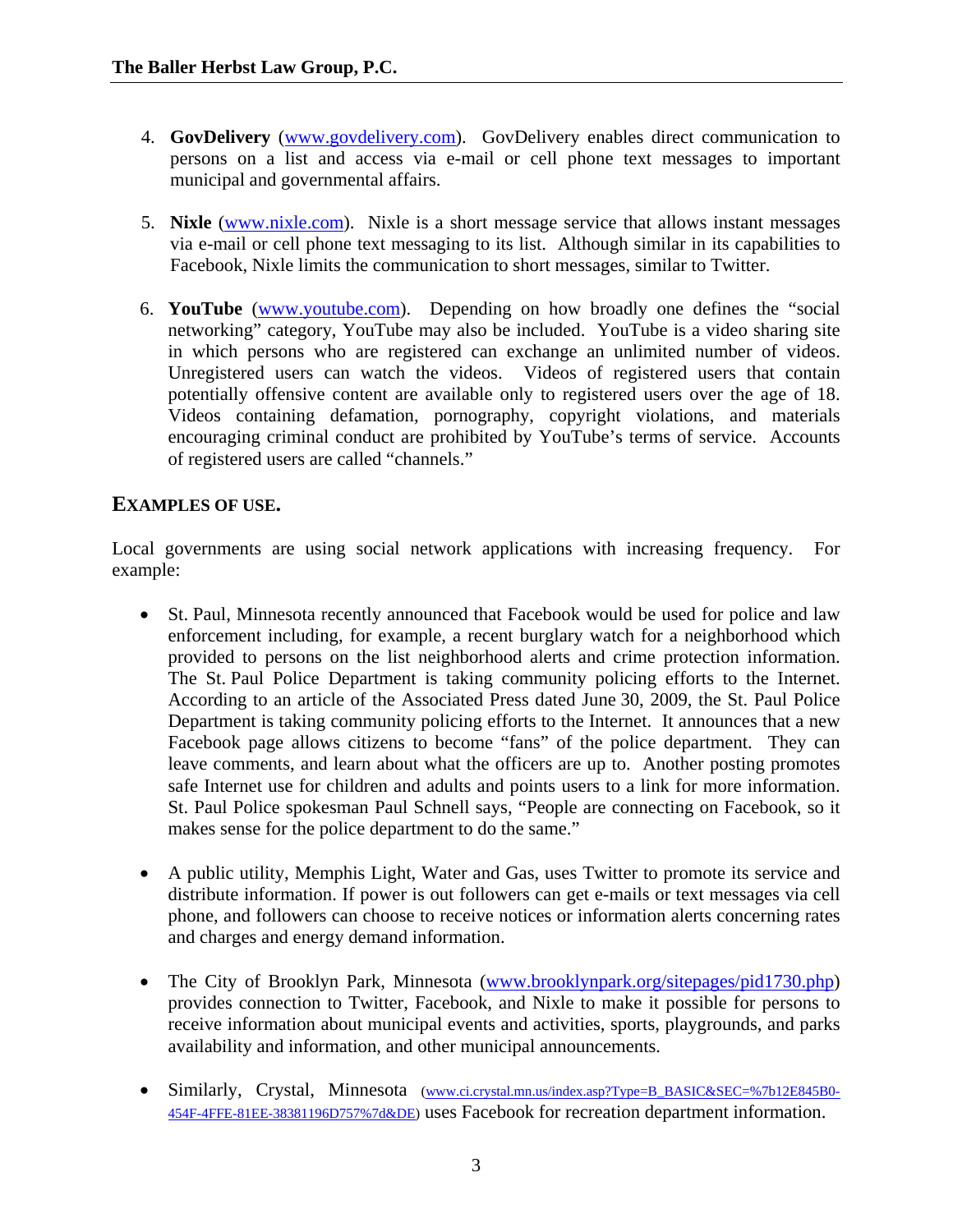- 4. **GovDelivery** (www.govdelivery.com). GovDelivery enables direct communication to persons on a list and access via e-mail or cell phone text messages to important municipal and governmental affairs.
- 5. **Nixle** (www.nixle.com). Nixle is a short message service that allows instant messages via e-mail or cell phone text messaging to its list. Although similar in its capabilities to Facebook, Nixle limits the communication to short messages, similar to Twitter.
- 6. **YouTube** (www.youtube.com). Depending on how broadly one defines the "social networking" category, YouTube may also be included. YouTube is a video sharing site in which persons who are registered can exchange an unlimited number of videos. Unregistered users can watch the videos. Videos of registered users that contain potentially offensive content are available only to registered users over the age of 18. Videos containing defamation, pornography, copyright violations, and materials encouraging criminal conduct are prohibited by YouTube's terms of service. Accounts of registered users are called "channels."

## **EXAMPLES OF USE.**

Local governments are using social network applications with increasing frequency. For example:

- St. Paul, Minnesota recently announced that Facebook would be used for police and law enforcement including, for example, a recent burglary watch for a neighborhood which provided to persons on the list neighborhood alerts and crime protection information. The St. Paul Police Department is taking community policing efforts to the Internet. According to an article of the Associated Press dated June 30, 2009, the St. Paul Police Department is taking community policing efforts to the Internet. It announces that a new Facebook page allows citizens to become "fans" of the police department. They can leave comments, and learn about what the officers are up to. Another posting promotes safe Internet use for children and adults and points users to a link for more information. St. Paul Police spokesman Paul Schnell says, "People are connecting on Facebook, so it makes sense for the police department to do the same."
- A public utility, Memphis Light, Water and Gas, uses Twitter to promote its service and distribute information. If power is out followers can get e-mails or text messages via cell phone, and followers can choose to receive notices or information alerts concerning rates and charges and energy demand information.
- The City of Brooklyn Park, Minnesota (www.brooklynpark.org/sitepages/pid1730.php) provides connection to Twitter, Facebook, and Nixle to make it possible for persons to receive information about municipal events and activities, sports, playgrounds, and parks availability and information, and other municipal announcements.
- Similarly, Crystal, Minnesota (www.ci.crystal.mn.us/index.asp?Type=B\_BASIC&SEC=%7b12E845B0-454F-4FFE-81EE-38381196D757%7d&DE) uses Facebook for recreation department information.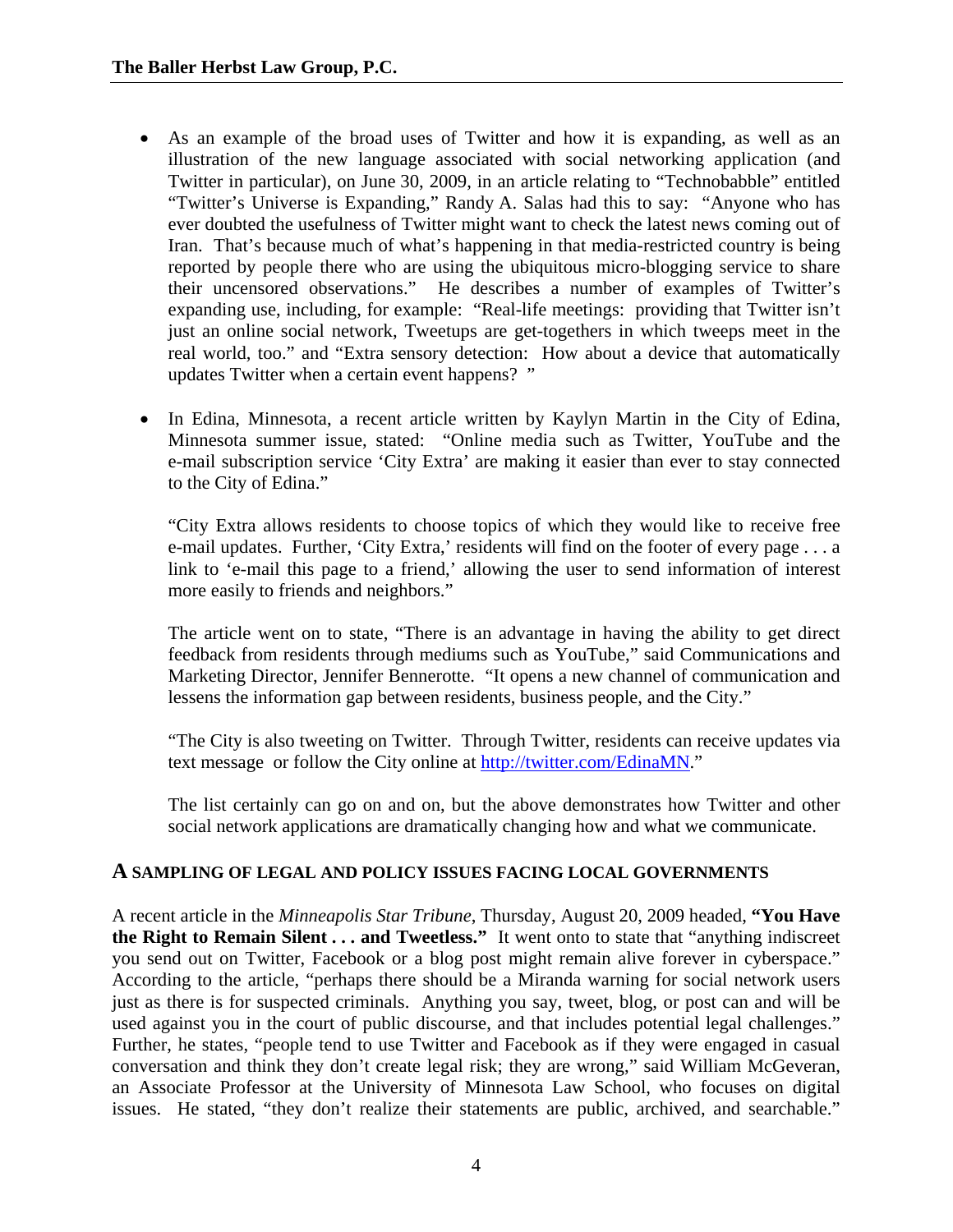- As an example of the broad uses of Twitter and how it is expanding, as well as an illustration of the new language associated with social networking application (and Twitter in particular), on June 30, 2009, in an article relating to "Technobabble" entitled "Twitter's Universe is Expanding," Randy A. Salas had this to say: "Anyone who has ever doubted the usefulness of Twitter might want to check the latest news coming out of Iran. That's because much of what's happening in that media-restricted country is being reported by people there who are using the ubiquitous micro-blogging service to share their uncensored observations." He describes a number of examples of Twitter's expanding use, including, for example: "Real-life meetings: providing that Twitter isn't just an online social network, Tweetups are get-togethers in which tweeps meet in the real world, too." and "Extra sensory detection: How about a device that automatically updates Twitter when a certain event happens? "
- In Edina, Minnesota, a recent article written by Kaylyn Martin in the City of Edina, Minnesota summer issue, stated: "Online media such as Twitter, YouTube and the e-mail subscription service 'City Extra' are making it easier than ever to stay connected to the City of Edina."

 "City Extra allows residents to choose topics of which they would like to receive free e-mail updates. Further, 'City Extra,' residents will find on the footer of every page . . . a link to 'e-mail this page to a friend,' allowing the user to send information of interest more easily to friends and neighbors."

 The article went on to state, "There is an advantage in having the ability to get direct feedback from residents through mediums such as YouTube," said Communications and Marketing Director, Jennifer Bennerotte. "It opens a new channel of communication and lessens the information gap between residents, business people, and the City."

 "The City is also tweeting on Twitter. Through Twitter, residents can receive updates via text message or follow the City online at http://twitter.com/EdinaMN."

 The list certainly can go on and on, but the above demonstrates how Twitter and other social network applications are dramatically changing how and what we communicate.

#### **A SAMPLING OF LEGAL AND POLICY ISSUES FACING LOCAL GOVERNMENTS**

A recent article in the *Minneapolis Star Tribune*, Thursday, August 20, 2009 headed, **"You Have the Right to Remain Silent . . . and Tweetless."** It went onto to state that "anything indiscreet you send out on Twitter, Facebook or a blog post might remain alive forever in cyberspace." According to the article, "perhaps there should be a Miranda warning for social network users just as there is for suspected criminals. Anything you say, tweet, blog, or post can and will be used against you in the court of public discourse, and that includes potential legal challenges." Further, he states, "people tend to use Twitter and Facebook as if they were engaged in casual conversation and think they don't create legal risk; they are wrong," said William McGeveran, an Associate Professor at the University of Minnesota Law School, who focuses on digital issues. He stated, "they don't realize their statements are public, archived, and searchable."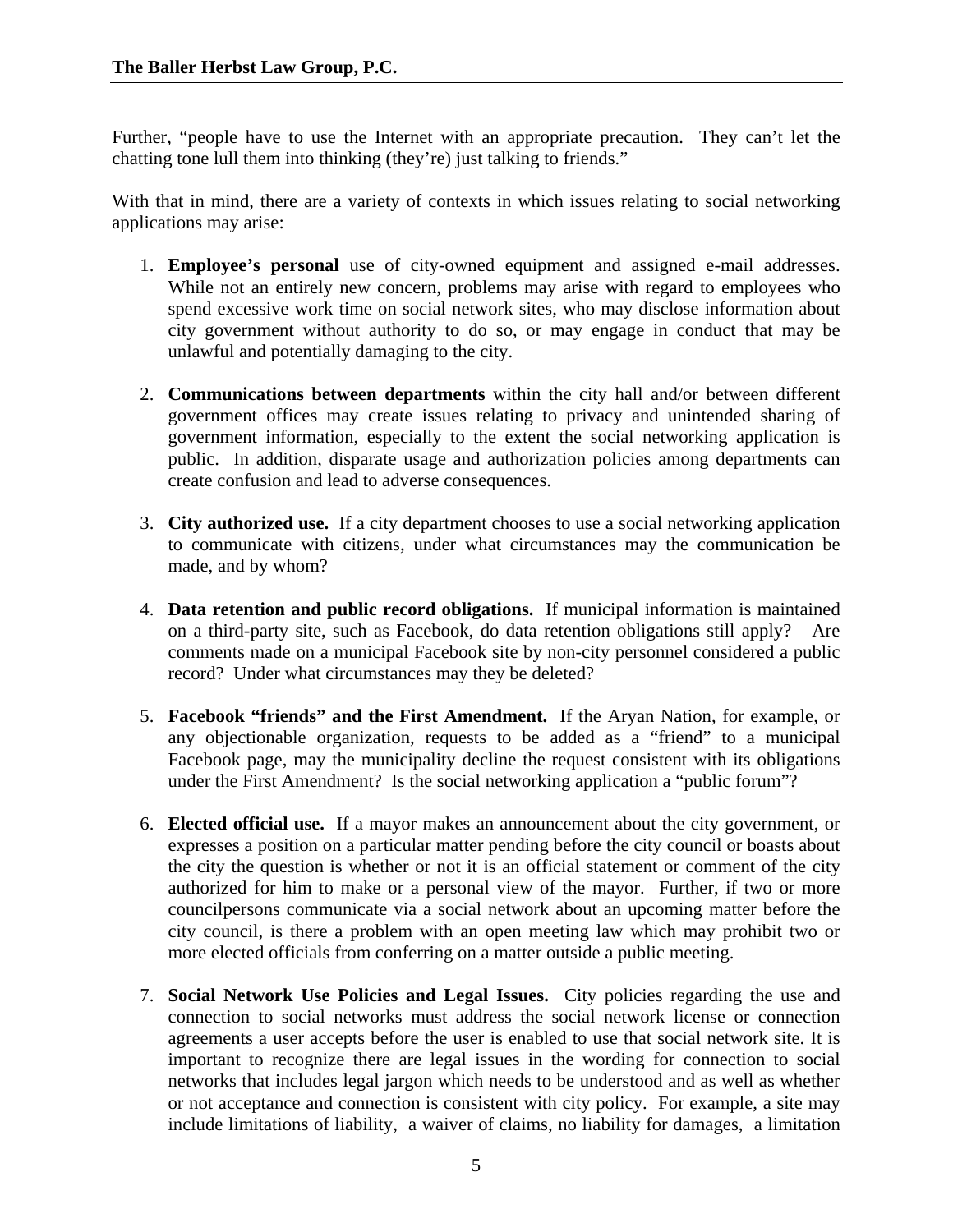Further, "people have to use the Internet with an appropriate precaution. They can't let the chatting tone lull them into thinking (they're) just talking to friends."

With that in mind, there are a variety of contexts in which issues relating to social networking applications may arise:

- 1. **Employee's personal** use of city-owned equipment and assigned e-mail addresses. While not an entirely new concern, problems may arise with regard to employees who spend excessive work time on social network sites, who may disclose information about city government without authority to do so, or may engage in conduct that may be unlawful and potentially damaging to the city.
- 2. **Communications between departments** within the city hall and/or between different government offices may create issues relating to privacy and unintended sharing of government information, especially to the extent the social networking application is public. In addition, disparate usage and authorization policies among departments can create confusion and lead to adverse consequences.
- 3. **City authorized use.** If a city department chooses to use a social networking application to communicate with citizens, under what circumstances may the communication be made, and by whom?
- 4. **Data retention and public record obligations.** If municipal information is maintained on a third-party site, such as Facebook, do data retention obligations still apply? Are comments made on a municipal Facebook site by non-city personnel considered a public record? Under what circumstances may they be deleted?
- 5. **Facebook "friends" and the First Amendment.** If the Aryan Nation, for example, or any objectionable organization, requests to be added as a "friend" to a municipal Facebook page, may the municipality decline the request consistent with its obligations under the First Amendment? Is the social networking application a "public forum"?
- 6. **Elected official use.** If a mayor makes an announcement about the city government, or expresses a position on a particular matter pending before the city council or boasts about the city the question is whether or not it is an official statement or comment of the city authorized for him to make or a personal view of the mayor. Further, if two or more councilpersons communicate via a social network about an upcoming matter before the city council, is there a problem with an open meeting law which may prohibit two or more elected officials from conferring on a matter outside a public meeting.
- 7. **Social Network Use Policies and Legal Issues.** City policies regarding the use and connection to social networks must address the social network license or connection agreements a user accepts before the user is enabled to use that social network site. It is important to recognize there are legal issues in the wording for connection to social networks that includes legal jargon which needs to be understood and as well as whether or not acceptance and connection is consistent with city policy. For example, a site may include limitations of liability, a waiver of claims, no liability for damages, a limitation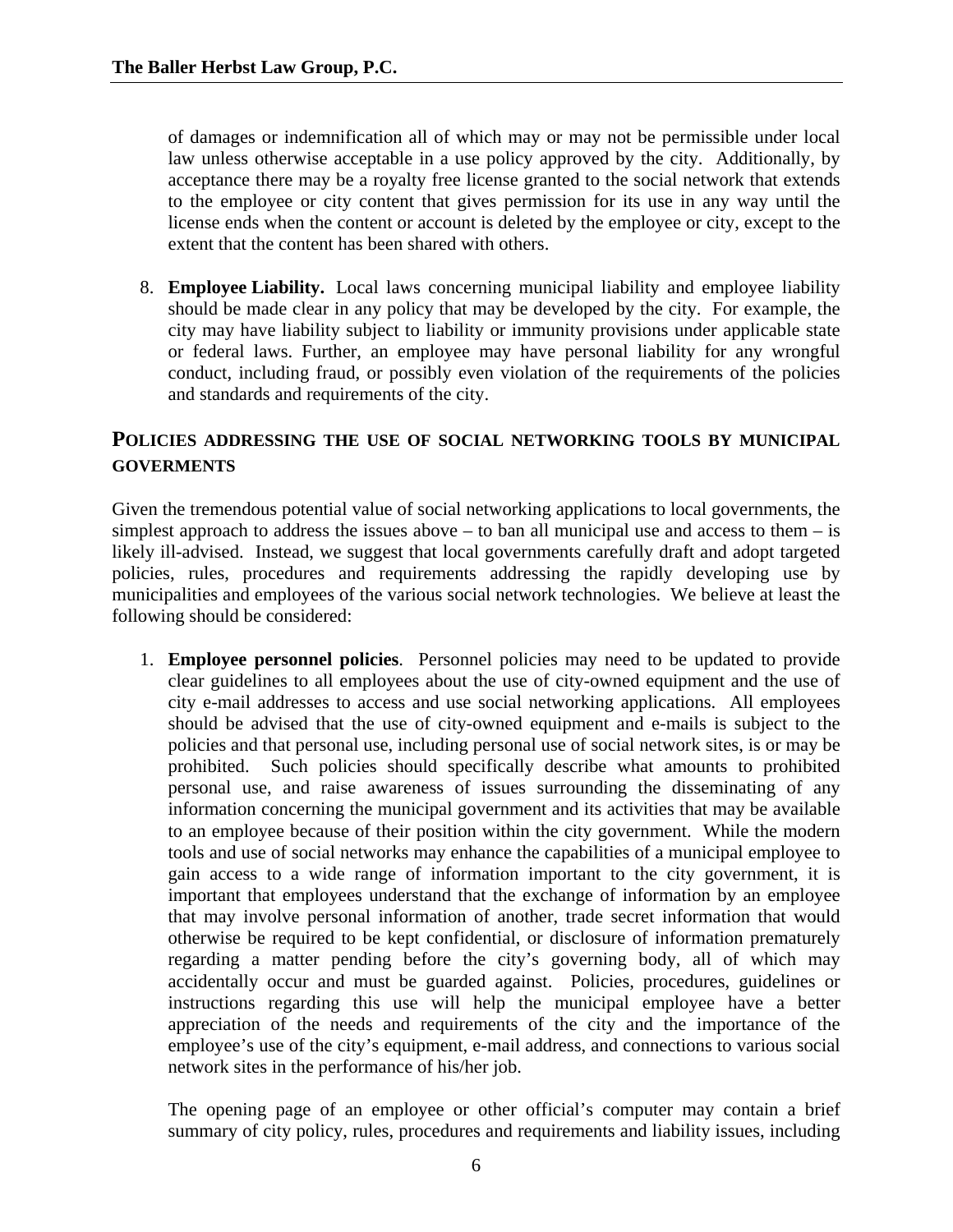of damages or indemnification all of which may or may not be permissible under local law unless otherwise acceptable in a use policy approved by the city. Additionally, by acceptance there may be a royalty free license granted to the social network that extends to the employee or city content that gives permission for its use in any way until the license ends when the content or account is deleted by the employee or city, except to the extent that the content has been shared with others.

 8. **Employee Liability.** Local laws concerning municipal liability and employee liability should be made clear in any policy that may be developed by the city. For example, the city may have liability subject to liability or immunity provisions under applicable state or federal laws. Further, an employee may have personal liability for any wrongful conduct, including fraud, or possibly even violation of the requirements of the policies and standards and requirements of the city.

### **POLICIES ADDRESSING THE USE OF SOCIAL NETWORKING TOOLS BY MUNICIPAL GOVERMENTS**

Given the tremendous potential value of social networking applications to local governments, the simplest approach to address the issues above – to ban all municipal use and access to them – is likely ill-advised. Instead, we suggest that local governments carefully draft and adopt targeted policies, rules, procedures and requirements addressing the rapidly developing use by municipalities and employees of the various social network technologies. We believe at least the following should be considered:

 1. **Employee personnel policies**. Personnel policies may need to be updated to provide clear guidelines to all employees about the use of city-owned equipment and the use of city e-mail addresses to access and use social networking applications. All employees should be advised that the use of city-owned equipment and e-mails is subject to the policies and that personal use, including personal use of social network sites, is or may be prohibited. Such policies should specifically describe what amounts to prohibited personal use, and raise awareness of issues surrounding the disseminating of any information concerning the municipal government and its activities that may be available to an employee because of their position within the city government. While the modern tools and use of social networks may enhance the capabilities of a municipal employee to gain access to a wide range of information important to the city government, it is important that employees understand that the exchange of information by an employee that may involve personal information of another, trade secret information that would otherwise be required to be kept confidential, or disclosure of information prematurely regarding a matter pending before the city's governing body, all of which may accidentally occur and must be guarded against. Policies, procedures, guidelines or instructions regarding this use will help the municipal employee have a better appreciation of the needs and requirements of the city and the importance of the employee's use of the city's equipment, e-mail address, and connections to various social network sites in the performance of his/her job.

 The opening page of an employee or other official's computer may contain a brief summary of city policy, rules, procedures and requirements and liability issues, including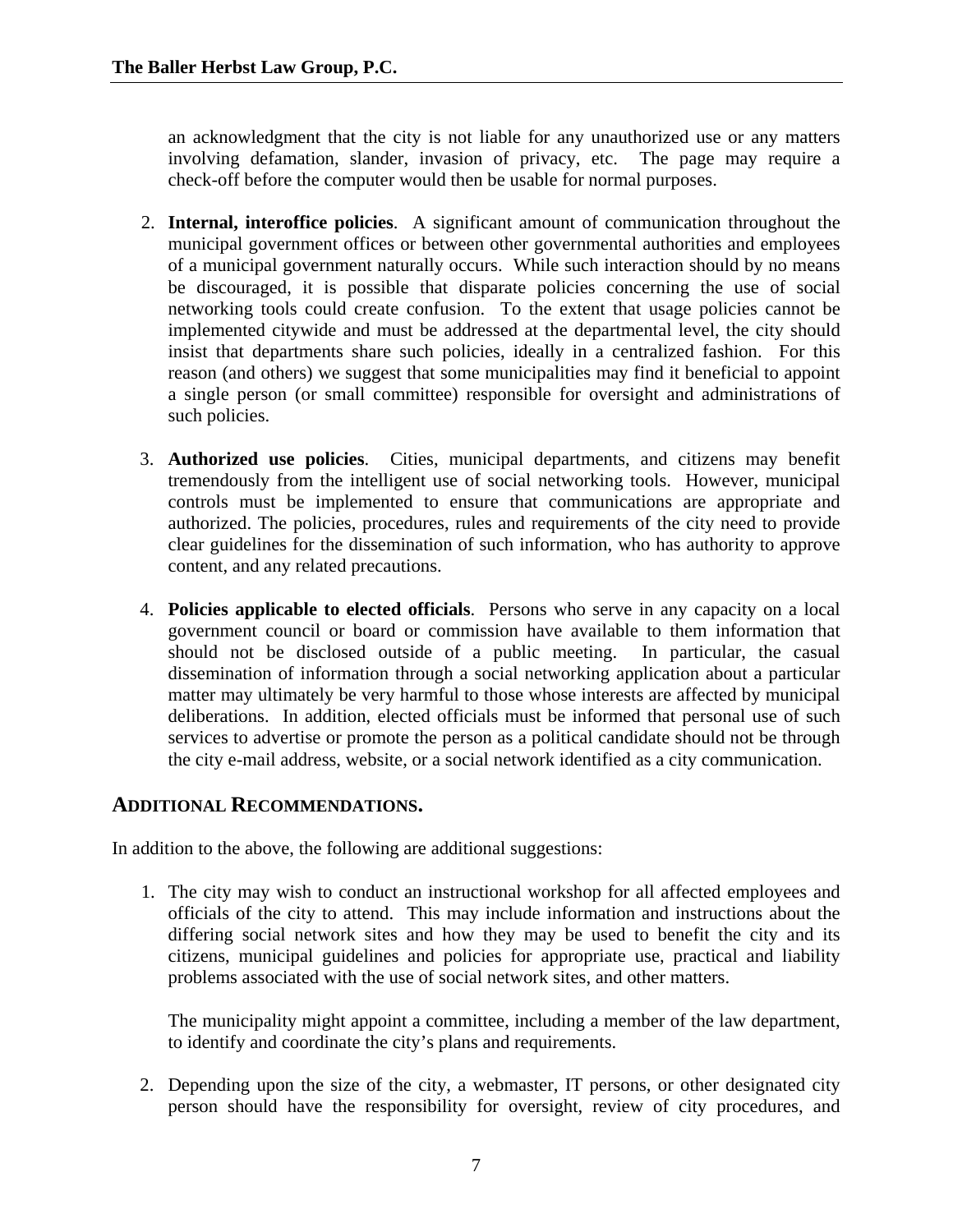an acknowledgment that the city is not liable for any unauthorized use or any matters involving defamation, slander, invasion of privacy, etc. The page may require a check-off before the computer would then be usable for normal purposes.

- 2. **Internal, interoffice policies**. A significant amount of communication throughout the municipal government offices or between other governmental authorities and employees of a municipal government naturally occurs. While such interaction should by no means be discouraged, it is possible that disparate policies concerning the use of social networking tools could create confusion. To the extent that usage policies cannot be implemented citywide and must be addressed at the departmental level, the city should insist that departments share such policies, ideally in a centralized fashion. For this reason (and others) we suggest that some municipalities may find it beneficial to appoint a single person (or small committee) responsible for oversight and administrations of such policies.
- 3. **Authorized use policies**. Cities, municipal departments, and citizens may benefit tremendously from the intelligent use of social networking tools. However, municipal controls must be implemented to ensure that communications are appropriate and authorized. The policies, procedures, rules and requirements of the city need to provide clear guidelines for the dissemination of such information, who has authority to approve content, and any related precautions.
- 4. **Policies applicable to elected officials**. Persons who serve in any capacity on a local government council or board or commission have available to them information that should not be disclosed outside of a public meeting. In particular, the casual dissemination of information through a social networking application about a particular matter may ultimately be very harmful to those whose interests are affected by municipal deliberations. In addition, elected officials must be informed that personal use of such services to advertise or promote the person as a political candidate should not be through the city e-mail address, website, or a social network identified as a city communication.

#### **ADDITIONAL RECOMMENDATIONS.**

In addition to the above, the following are additional suggestions:

1. The city may wish to conduct an instructional workshop for all affected employees and officials of the city to attend. This may include information and instructions about the differing social network sites and how they may be used to benefit the city and its citizens, municipal guidelines and policies for appropriate use, practical and liability problems associated with the use of social network sites, and other matters.

 The municipality might appoint a committee, including a member of the law department, to identify and coordinate the city's plans and requirements.

 2. Depending upon the size of the city, a webmaster, IT persons, or other designated city person should have the responsibility for oversight, review of city procedures, and